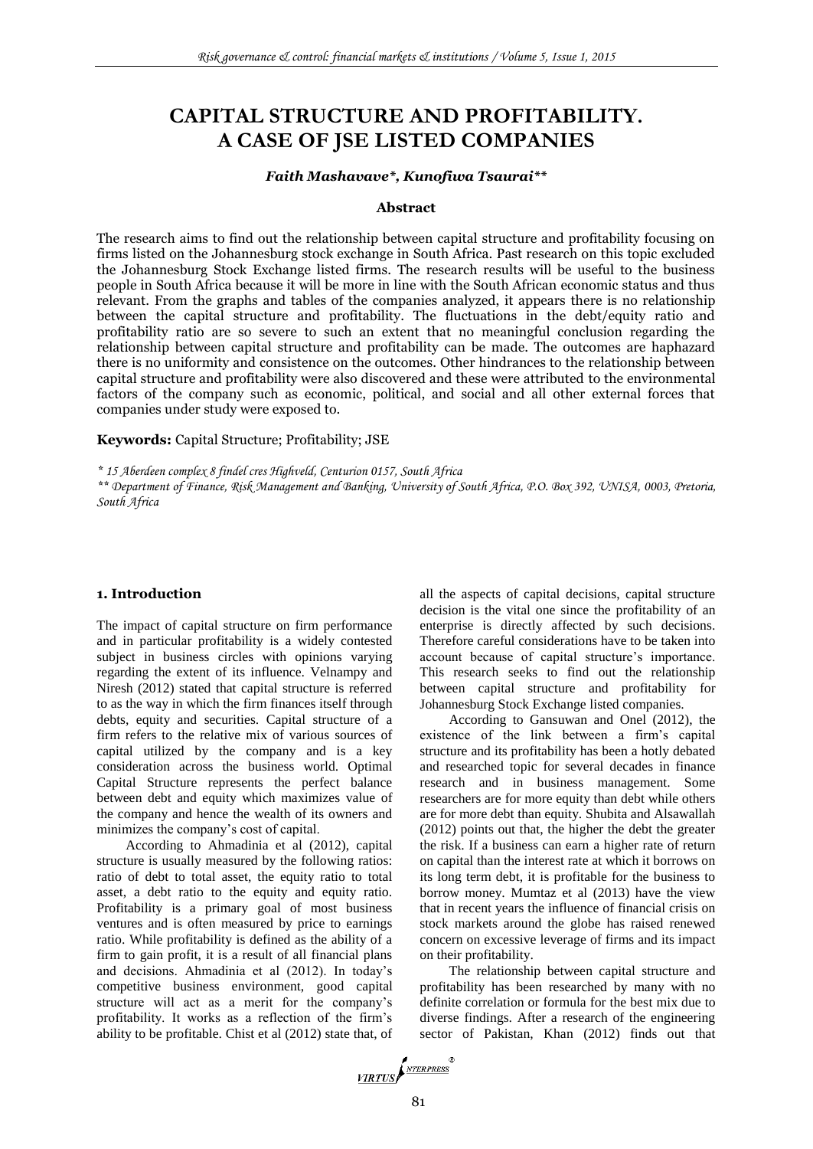# **CAPITAL STRUCTURE AND PROFITABILITY. A CASE OF JSE LISTED COMPANIES**

# *Faith Mashavave\*, Kunofiwa Tsaurai\*\**

#### **Abstract**

The research aims to find out the relationship between capital structure and profitability focusing on firms listed on the Johannesburg stock exchange in South Africa. Past research on this topic excluded the Johannesburg Stock Exchange listed firms. The research results will be useful to the business people in South Africa because it will be more in line with the South African economic status and thus relevant. From the graphs and tables of the companies analyzed, it appears there is no relationship between the capital structure and profitability. The fluctuations in the debt/equity ratio and profitability ratio are so severe to such an extent that no meaningful conclusion regarding the relationship between capital structure and profitability can be made. The outcomes are haphazard there is no uniformity and consistence on the outcomes. Other hindrances to the relationship between capital structure and profitability were also discovered and these were attributed to the environmental factors of the company such as economic, political, and social and all other external forces that companies under study were exposed to.

### **Keywords:** Capital Structure; Profitability; JSE

*\* 15 Aberdeen complex 8 findel cres Highveld, Centurion 0157, South Africa*

*\*\* Department of Finance, Risk Management and Banking, University of South Africa, P.O. Box 392, UNISA, 0003, Pretoria, South Africa*

#### **1. Introduction**

The impact of capital structure on firm performance and in particular profitability is a widely contested subject in business circles with opinions varying regarding the extent of its influence. Velnampy and Niresh (2012) stated that capital structure is referred to as the way in which the firm finances itself through debts, equity and securities. Capital structure of a firm refers to the relative mix of various sources of capital utilized by the company and is a key consideration across the business world. Optimal Capital Structure represents the perfect balance between debt and equity which maximizes value of the company and hence the wealth of its owners and minimizes the company's cost of capital.

According to Ahmadinia et al (2012), capital structure is usually measured by the following ratios: ratio of debt to total asset, the equity ratio to total asset, a debt ratio to the equity and equity ratio. Profitability is a primary goal of most business ventures and is often measured by price to earnings ratio. While profitability is defined as the ability of a firm to gain profit, it is a result of all financial plans and decisions. Ahmadinia et al (2012). In today's competitive business environment, good capital structure will act as a merit for the company's profitability. It works as a reflection of the firm's ability to be profitable. Chist et al (2012) state that, of all the aspects of capital decisions, capital structure decision is the vital one since the profitability of an enterprise is directly affected by such decisions. Therefore careful considerations have to be taken into account because of capital structure's importance. This research seeks to find out the relationship between capital structure and profitability for Johannesburg Stock Exchange listed companies.

According to Gansuwan and Onel (2012), the existence of the link between a firm's capital structure and its profitability has been a hotly debated and researched topic for several decades in finance research and in business management. Some researchers are for more equity than debt while others are for more debt than equity. Shubita and Alsawallah (2012) points out that, the higher the debt the greater the risk. If a business can earn a higher rate of return on capital than the interest rate at which it borrows on its long term debt, it is profitable for the business to borrow money. Mumtaz et al (2013) have the view that in recent years the influence of financial crisis on stock markets around the globe has raised renewed concern on excessive leverage of firms and its impact on their profitability.

The relationship between capital structure and profitability has been researched by many with no definite correlation or formula for the best mix due to diverse findings. After a research of the engineering sector of Pakistan, Khan (2012) finds out that

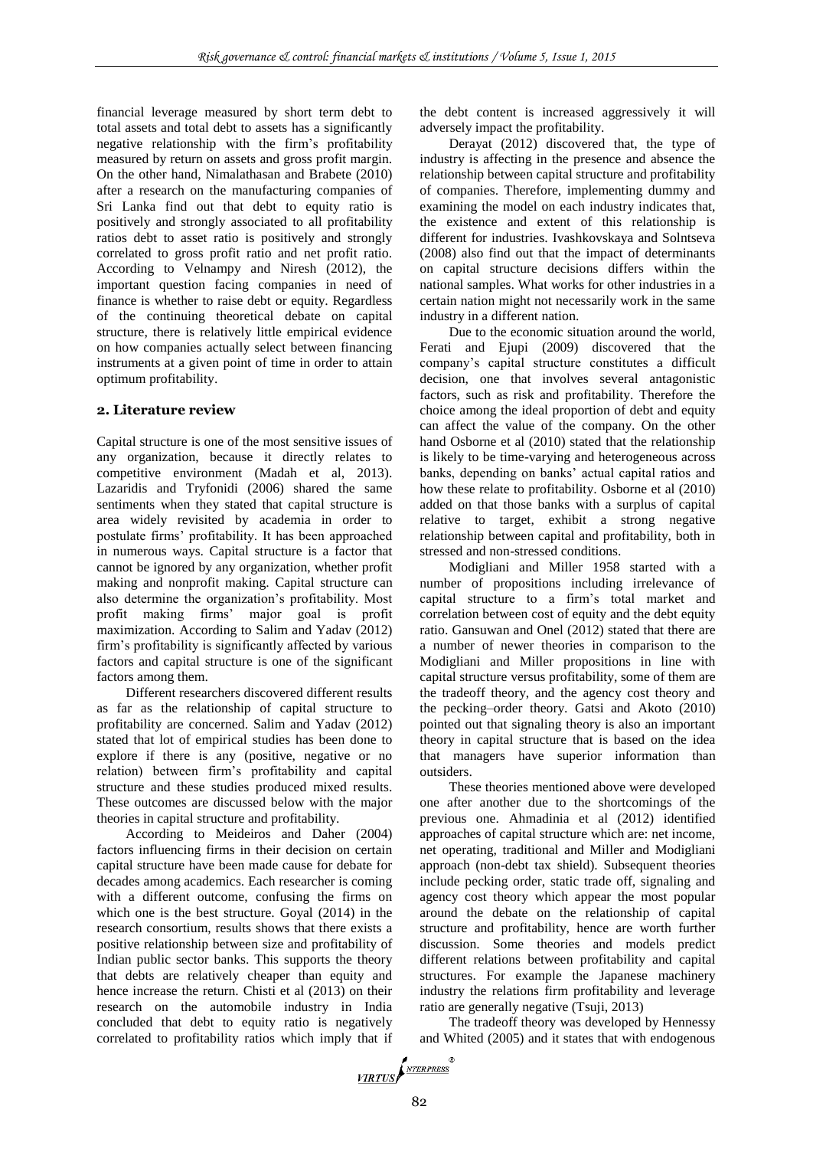financial leverage measured by short term debt to total assets and total debt to assets has a significantly negative relationship with the firm's profitability measured by return on assets and gross profit margin. On the other hand, Nimalathasan and Brabete (2010) after a research on the manufacturing companies of Sri Lanka find out that debt to equity ratio is positively and strongly associated to all profitability ratios debt to asset ratio is positively and strongly correlated to gross profit ratio and net profit ratio. According to Velnampy and Niresh (2012), the important question facing companies in need of finance is whether to raise debt or equity. Regardless of the continuing theoretical debate on capital structure, there is relatively little empirical evidence on how companies actually select between financing instruments at a given point of time in order to attain optimum profitability.

## **2. Literature review**

Capital structure is one of the most sensitive issues of any organization, because it directly relates to competitive environment (Madah et al, 2013). Lazaridis and Tryfonidi (2006) shared the same sentiments when they stated that capital structure is area widely revisited by academia in order to postulate firms' profitability. It has been approached in numerous ways. Capital structure is a factor that cannot be ignored by any organization, whether profit making and nonprofit making. Capital structure can also determine the organization's profitability. Most profit making firms' major goal is profit maximization. According to Salim and Yadav (2012) firm's profitability is significantly affected by various factors and capital structure is one of the significant factors among them.

Different researchers discovered different results as far as the relationship of capital structure to profitability are concerned. Salim and Yadav (2012) stated that lot of empirical studies has been done to explore if there is any (positive, negative or no relation) between firm's profitability and capital structure and these studies produced mixed results. These outcomes are discussed below with the major theories in capital structure and profitability.

According to Meideiros and Daher (2004) factors influencing firms in their decision on certain capital structure have been made cause for debate for decades among academics. Each researcher is coming with a different outcome, confusing the firms on which one is the best structure. Goyal (2014) in the research consortium, results shows that there exists a positive relationship between size and profitability of Indian public sector banks. This supports the theory that debts are relatively cheaper than equity and hence increase the return. Chisti et al (2013) on their research on the automobile industry in India concluded that debt to equity ratio is negatively correlated to profitability ratios which imply that if the debt content is increased aggressively it will adversely impact the profitability.

Derayat (2012) discovered that, the type of industry is affecting in the presence and absence the relationship between capital structure and profitability of companies. Therefore, implementing dummy and examining the model on each industry indicates that, the existence and extent of this relationship is different for industries. Ivashkovskaya and Solntseva (2008) also find out that the impact of determinants on capital structure decisions differs within the national samples. What works for other industries in a certain nation might not necessarily work in the same industry in a different nation.

Due to the economic situation around the world, Ferati and Ejupi (2009) discovered that the company's capital structure constitutes a difficult decision, one that involves several antagonistic factors, such as risk and profitability. Therefore the choice among the ideal proportion of debt and equity can affect the value of the company. On the other hand Osborne et al (2010) stated that the relationship is likely to be time-varying and heterogeneous across banks, depending on banks' actual capital ratios and how these relate to profitability. Osborne et al (2010) added on that those banks with a surplus of capital relative to target, exhibit a strong negative relationship between capital and profitability, both in stressed and non-stressed conditions.

Modigliani and Miller 1958 started with a number of propositions including irrelevance of capital structure to a firm's total market and correlation between cost of equity and the debt equity ratio. Gansuwan and Onel (2012) stated that there are a number of newer theories in comparison to the Modigliani and Miller propositions in line with capital structure versus profitability, some of them are the tradeoff theory, and the agency cost theory and the pecking–order theory. Gatsi and Akoto (2010) pointed out that signaling theory is also an important theory in capital structure that is based on the idea that managers have superior information than outsiders.

These theories mentioned above were developed one after another due to the shortcomings of the previous one. Ahmadinia et al (2012) identified approaches of capital structure which are: net income, net operating, traditional and Miller and Modigliani approach (non-debt tax shield). Subsequent theories include pecking order, static trade off, signaling and agency cost theory which appear the most popular around the debate on the relationship of capital structure and profitability, hence are worth further discussion. Some theories and models predict different relations between profitability and capital structures. For example the Japanese machinery industry the relations firm profitability and leverage ratio are generally negative (Tsuji, 2013)

The tradeoff theory was developed by Hennessy and Whited (2005) and it states that with endogenous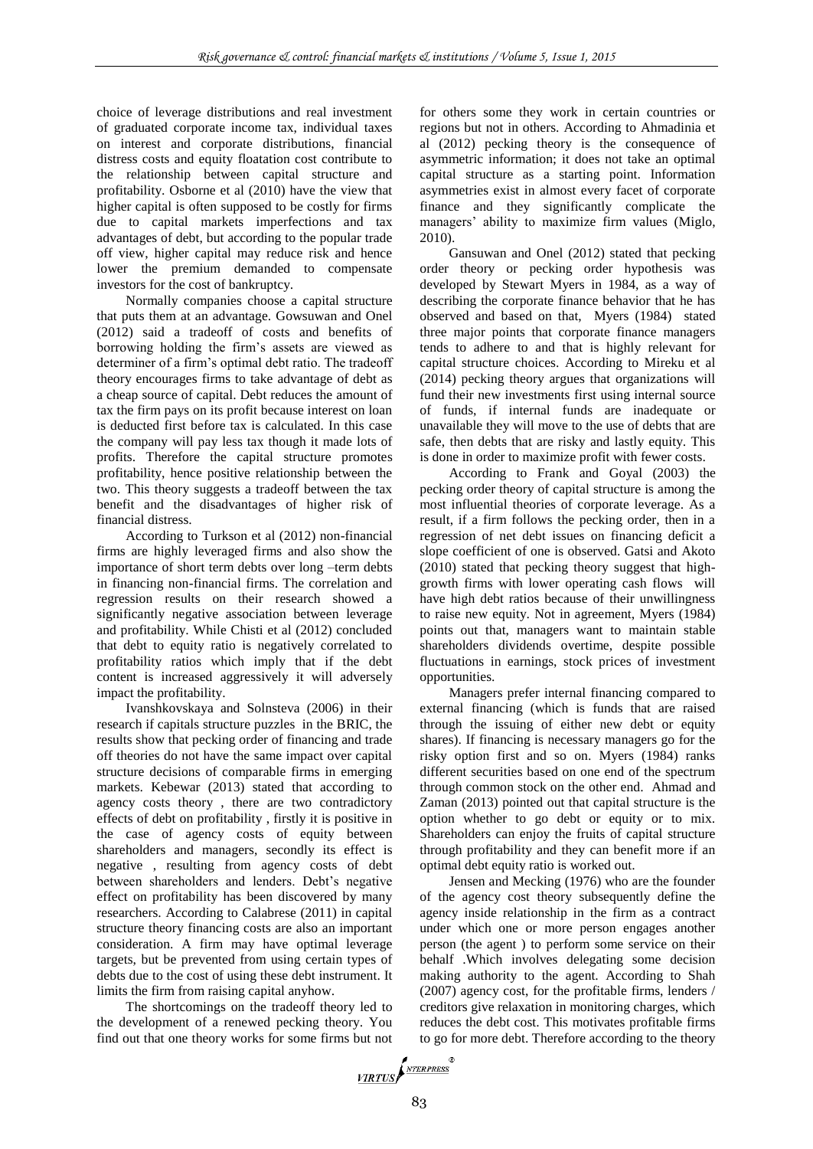choice of leverage distributions and real investment of graduated corporate income tax, individual taxes on interest and corporate distributions, financial distress costs and equity floatation cost contribute to the relationship between capital structure and profitability. Osborne et al (2010) have the view that higher capital is often supposed to be costly for firms due to capital markets imperfections and tax advantages of debt, but according to the popular trade off view, higher capital may reduce risk and hence lower the premium demanded to compensate investors for the cost of bankruptcy.

Normally companies choose a capital structure that puts them at an advantage. Gowsuwan and Onel (2012) said a tradeoff of costs and benefits of borrowing holding the firm's assets are viewed as determiner of a firm's optimal debt ratio. The tradeoff theory encourages firms to take advantage of debt as a cheap source of capital. Debt reduces the amount of tax the firm pays on its profit because interest on loan is deducted first before tax is calculated. In this case the company will pay less tax though it made lots of profits. Therefore the capital structure promotes profitability, hence positive relationship between the two. This theory suggests a tradeoff between the tax benefit and the disadvantages of higher risk of financial distress.

According to Turkson et al (2012) non-financial firms are highly leveraged firms and also show the importance of short term debts over long –term debts in financing non-financial firms. The correlation and regression results on their research showed a significantly negative association between leverage and profitability. While Chisti et al (2012) concluded that debt to equity ratio is negatively correlated to profitability ratios which imply that if the debt content is increased aggressively it will adversely impact the profitability.

Ivanshkovskaya and Solnsteva (2006) in their research if capitals structure puzzles in the BRIC, the results show that pecking order of financing and trade off theories do not have the same impact over capital structure decisions of comparable firms in emerging markets. Kebewar (2013) stated that according to agency costs theory , there are two contradictory effects of debt on profitability , firstly it is positive in the case of agency costs of equity between shareholders and managers, secondly its effect is negative , resulting from agency costs of debt between shareholders and lenders. Debt's negative effect on profitability has been discovered by many researchers. According to Calabrese (2011) in capital structure theory financing costs are also an important consideration. A firm may have optimal leverage targets, but be prevented from using certain types of debts due to the cost of using these debt instrument. It limits the firm from raising capital anyhow.

The shortcomings on the tradeoff theory led to the development of a renewed pecking theory. You find out that one theory works for some firms but not for others some they work in certain countries or regions but not in others. According to Ahmadinia et al (2012) pecking theory is the consequence of asymmetric information; it does not take an optimal capital structure as a starting point. Information asymmetries exist in almost every facet of corporate finance and they significantly complicate the managers' ability to maximize firm values (Miglo, 2010).

Gansuwan and Onel (2012) stated that pecking order theory or pecking order hypothesis was developed by Stewart Myers in 1984, as a way of describing the corporate finance behavior that he has observed and based on that, Myers (1984) stated three major points that corporate finance managers tends to adhere to and that is highly relevant for capital structure choices. According to Mireku et al (2014) pecking theory argues that organizations will fund their new investments first using internal source of funds, if internal funds are inadequate or unavailable they will move to the use of debts that are safe, then debts that are risky and lastly equity. This is done in order to maximize profit with fewer costs.

According to Frank and Goyal (2003) the pecking order theory of capital structure is among the most influential theories of corporate leverage. As a result, if a firm follows the pecking order, then in a regression of net debt issues on financing deficit a slope coefficient of one is observed. Gatsi and Akoto (2010) stated that pecking theory suggest that highgrowth firms with lower operating cash flows will have high debt ratios because of their unwillingness to raise new equity. Not in agreement, Myers (1984) points out that, managers want to maintain stable shareholders dividends overtime, despite possible fluctuations in earnings, stock prices of investment opportunities.

Managers prefer internal financing compared to external financing (which is funds that are raised through the issuing of either new debt or equity shares). If financing is necessary managers go for the risky option first and so on. Myers (1984) ranks different securities based on one end of the spectrum through common stock on the other end. Ahmad and Zaman (2013) pointed out that capital structure is the option whether to go debt or equity or to mix. Shareholders can enjoy the fruits of capital structure through profitability and they can benefit more if an optimal debt equity ratio is worked out.

Jensen and Mecking (1976) who are the founder of the agency cost theory subsequently define the agency inside relationship in the firm as a contract under which one or more person engages another person (the agent ) to perform some service on their behalf .Which involves delegating some decision making authority to the agent. According to Shah (2007) agency cost, for the profitable firms, lenders / creditors give relaxation in monitoring charges, which reduces the debt cost. This motivates profitable firms to go for more debt. Therefore according to the theory

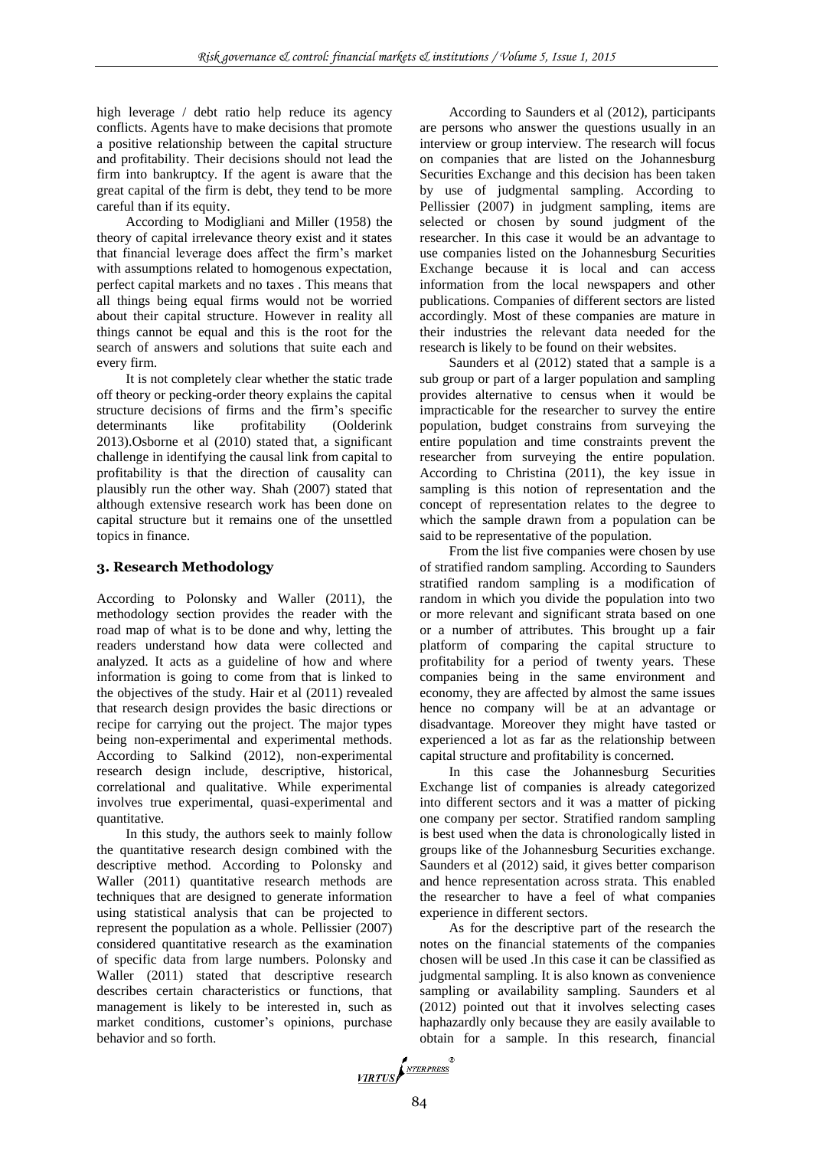high leverage / debt ratio help reduce its agency conflicts. Agents have to make decisions that promote a positive relationship between the capital structure and profitability. Their decisions should not lead the firm into bankruptcy. If the agent is aware that the great capital of the firm is debt, they tend to be more careful than if its equity.

According to Modigliani and Miller (1958) the theory of capital irrelevance theory exist and it states that financial leverage does affect the firm's market with assumptions related to homogenous expectation, perfect capital markets and no taxes . This means that all things being equal firms would not be worried about their capital structure. However in reality all things cannot be equal and this is the root for the search of answers and solutions that suite each and every firm.

It is not completely clear whether the static trade off theory or pecking-order theory explains the capital structure decisions of firms and the firm's specific determinants like profitability (Oolderink 2013).Osborne et al (2010) stated that, a significant challenge in identifying the causal link from capital to profitability is that the direction of causality can plausibly run the other way. Shah (2007) stated that although extensive research work has been done on capital structure but it remains one of the unsettled topics in finance.

## **3. Research Methodology**

According to Polonsky and Waller (2011), the methodology section provides the reader with the road map of what is to be done and why, letting the readers understand how data were collected and analyzed. It acts as a guideline of how and where information is going to come from that is linked to the objectives of the study. Hair et al (2011) revealed that research design provides the basic directions or recipe for carrying out the project. The major types being non-experimental and experimental methods. According to Salkind (2012), non-experimental research design include, descriptive, historical, correlational and qualitative. While experimental involves true experimental, quasi-experimental and quantitative*.* 

In this study, the authors seek to mainly follow the quantitative research design combined with the descriptive method. According to Polonsky and Waller (2011) quantitative research methods are techniques that are designed to generate information using statistical analysis that can be projected to represent the population as a whole. Pellissier (2007) considered quantitative research as the examination of specific data from large numbers. Polonsky and Waller (2011) stated that descriptive research describes certain characteristics or functions, that management is likely to be interested in, such as market conditions, customer's opinions, purchase behavior and so forth.

According to Saunders et al (2012), participants are persons who answer the questions usually in an interview or group interview. The research will focus on companies that are listed on the Johannesburg Securities Exchange and this decision has been taken by use of judgmental sampling. According to Pellissier (2007) in judgment sampling, items are selected or chosen by sound judgment of the researcher. In this case it would be an advantage to use companies listed on the Johannesburg Securities Exchange because it is local and can access information from the local newspapers and other publications. Companies of different sectors are listed accordingly. Most of these companies are mature in their industries the relevant data needed for the research is likely to be found on their websites.

Saunders et al (2012) stated that a sample is a sub group or part of a larger population and sampling provides alternative to census when it would be impracticable for the researcher to survey the entire population, budget constrains from surveying the entire population and time constraints prevent the researcher from surveying the entire population. According to Christina (2011), the key issue in sampling is this notion of representation and the concept of representation relates to the degree to which the sample drawn from a population can be said to be representative of the population.

From the list five companies were chosen by use of stratified random sampling. According to Saunders stratified random sampling is a modification of random in which you divide the population into two or more relevant and significant strata based on one or a number of attributes. This brought up a fair platform of comparing the capital structure to profitability for a period of twenty years. These companies being in the same environment and economy, they are affected by almost the same issues hence no company will be at an advantage or disadvantage*.* Moreover they might have tasted or experienced a lot as far as the relationship between capital structure and profitability is concerned.

In this case the Johannesburg Securities Exchange list of companies is already categorized into different sectors and it was a matter of picking one company per sector. Stratified random sampling is best used when the data is chronologically listed in groups like of the Johannesburg Securities exchange. Saunders et al (2012) said, it gives better comparison and hence representation across strata. This enabled the researcher to have a feel of what companies experience in different sectors.

As for the descriptive part of the research the notes on the financial statements of the companies chosen will be used .In this case it can be classified as judgmental sampling. It is also known as convenience sampling or availability sampling. Saunders et al (2012) pointed out that it involves selecting cases haphazardly only because they are easily available to obtain for a sample. In this research, financial

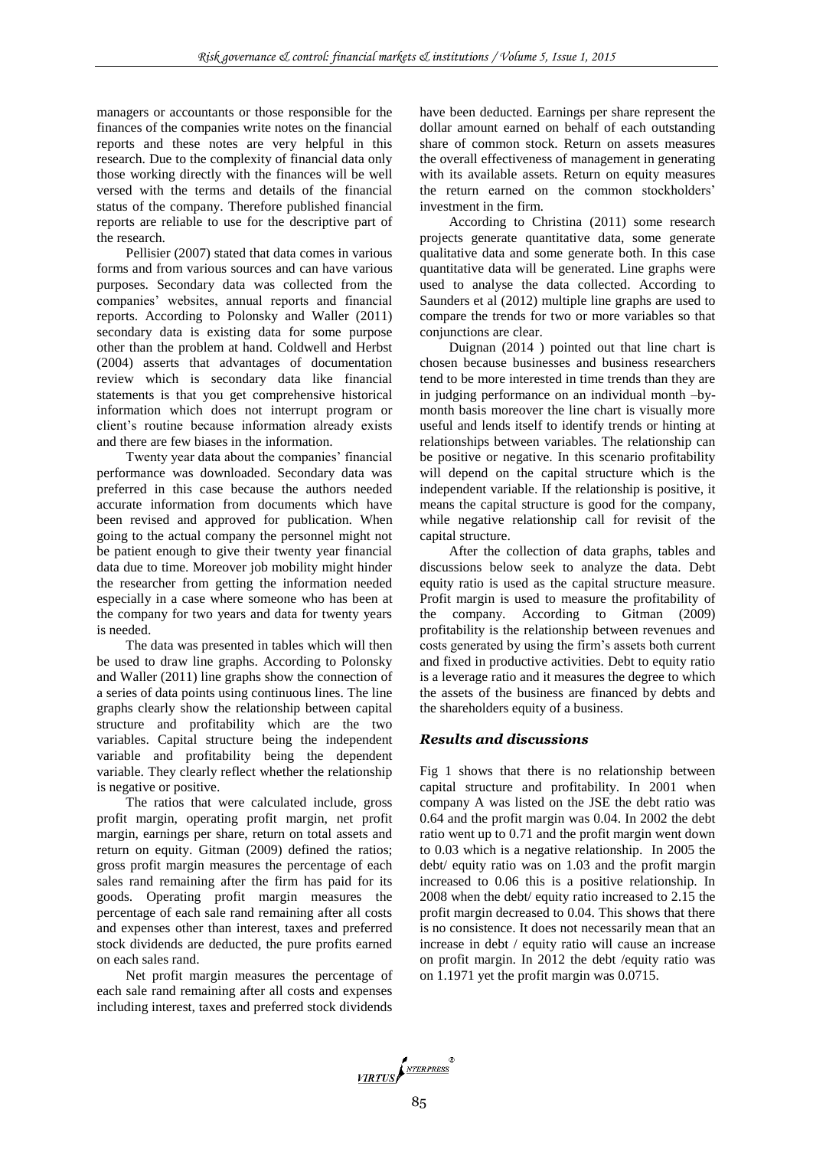managers or accountants or those responsible for the finances of the companies write notes on the financial reports and these notes are very helpful in this research. Due to the complexity of financial data only those working directly with the finances will be well versed with the terms and details of the financial status of the company. Therefore published financial reports are reliable to use for the descriptive part of the research.

Pellisier (2007) stated that data comes in various forms and from various sources and can have various purposes. Secondary data was collected from the companies' websites, annual reports and financial reports. According to Polonsky and Waller (2011) secondary data is existing data for some purpose other than the problem at hand. Coldwell and Herbst (2004) asserts that advantages of documentation review which is secondary data like financial statements is that you get comprehensive historical information which does not interrupt program or client's routine because information already exists and there are few biases in the information.

Twenty year data about the companies' financial performance was downloaded. Secondary data was preferred in this case because the authors needed accurate information from documents which have been revised and approved for publication. When going to the actual company the personnel might not be patient enough to give their twenty year financial data due to time. Moreover job mobility might hinder the researcher from getting the information needed especially in a case where someone who has been at the company for two years and data for twenty years is needed.

The data was presented in tables which will then be used to draw line graphs. According to Polonsky and Waller (2011) line graphs show the connection of a series of data points using continuous lines. The line graphs clearly show the relationship between capital structure and profitability which are the two variables. Capital structure being the independent variable and profitability being the dependent variable. They clearly reflect whether the relationship is negative or positive.

The ratios that were calculated include, gross profit margin, operating profit margin, net profit margin, earnings per share, return on total assets and return on equity. Gitman (2009) defined the ratios; gross profit margin measures the percentage of each sales rand remaining after the firm has paid for its goods. Operating profit margin measures the percentage of each sale rand remaining after all costs and expenses other than interest, taxes and preferred stock dividends are deducted, the pure profits earned on each sales rand.

Net profit margin measures the percentage of each sale rand remaining after all costs and expenses including interest, taxes and preferred stock dividends

have been deducted. Earnings per share represent the dollar amount earned on behalf of each outstanding share of common stock. Return on assets measures the overall effectiveness of management in generating with its available assets. Return on equity measures the return earned on the common stockholders' investment in the firm*.* 

According to Christina (2011) some research projects generate quantitative data, some generate qualitative data and some generate both. In this case quantitative data will be generated. Line graphs were used to analyse the data collected. According to Saunders et al (2012) multiple line graphs are used to compare the trends for two or more variables so that conjunctions are clear.

Duignan (2014 ) pointed out that line chart is chosen because businesses and business researchers tend to be more interested in time trends than they are in judging performance on an individual month –bymonth basis moreover the line chart is visually more useful and lends itself to identify trends or hinting at relationships between variables. The relationship can be positive or negative. In this scenario profitability will depend on the capital structure which is the independent variable. If the relationship is positive, it means the capital structure is good for the company, while negative relationship call for revisit of the capital structure.

After the collection of data graphs, tables and discussions below seek to analyze the data. Debt equity ratio is used as the capital structure measure. Profit margin is used to measure the profitability of the company. According to Gitman (2009) profitability is the relationship between revenues and costs generated by using the firm's assets both current and fixed in productive activities. Debt to equity ratio is a leverage ratio and it measures the degree to which the assets of the business are financed by debts and the shareholders equity of a business.

# *Results and discussions*

Fig 1 shows that there is no relationship between capital structure and profitability. In 2001 when company A was listed on the JSE the debt ratio was 0.64 and the profit margin was 0.04. In 2002 the debt ratio went up to 0.71 and the profit margin went down to 0.03 which is a negative relationship. In 2005 the debt/ equity ratio was on 1.03 and the profit margin increased to 0.06 this is a positive relationship. In 2008 when the debt/ equity ratio increased to 2.15 the profit margin decreased to 0.04. This shows that there is no consistence. It does not necessarily mean that an increase in debt / equity ratio will cause an increase on profit margin. In 2012 the debt /equity ratio was on 1.1971 yet the profit margin was 0.0715.

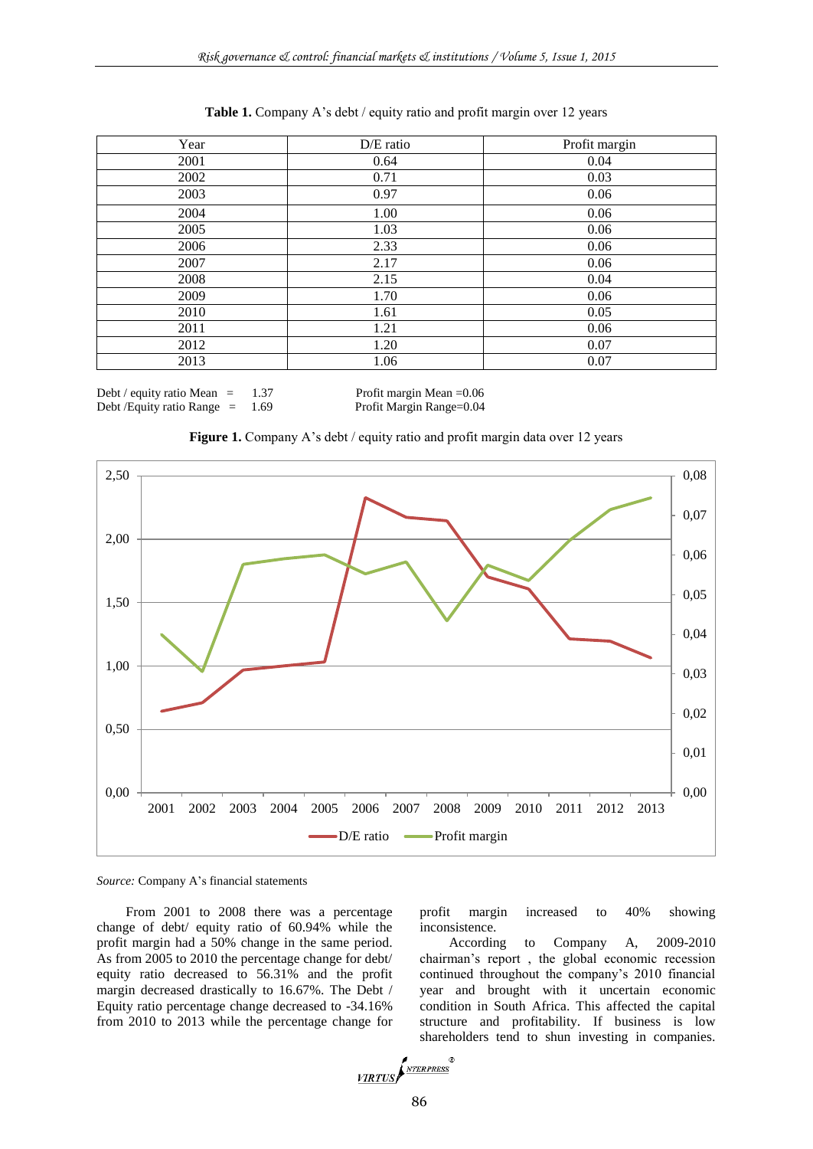| Table 1. Company A's debt / equity ratio and profit margin over 12 years |  |  |  |
|--------------------------------------------------------------------------|--|--|--|
|--------------------------------------------------------------------------|--|--|--|

| Year | D/E ratio | Profit margin |
|------|-----------|---------------|
| 2001 | 0.64      | 0.04          |
| 2002 | 0.71      | 0.03          |
| 2003 | 0.97      | 0.06          |
| 2004 | 1.00      | 0.06          |
| 2005 | 1.03      | 0.06          |
| 2006 | 2.33      | 0.06          |
| 2007 | 2.17      | 0.06          |
| 2008 | 2.15      | 0.04          |
| 2009 | 1.70      | 0.06          |
| 2010 | 1.61      | 0.05          |
| 2011 | 1.21      | 0.06          |
| 2012 | 1.20      | 0.07          |
| 2013 | 1.06      | 0.07          |

Debt / equity ratio Mean = 1.37 Profit margin Mean = 0.06

Debt /Equity ratio Range = 1.69 Profit Margin Range=0.04





*Source:* Company A's financial statements

From 2001 to 2008 there was a percentage change of debt/ equity ratio of 60.94% while the profit margin had a 50% change in the same period. As from 2005 to 2010 the percentage change for debt/ equity ratio decreased to 56.31% and the profit margin decreased drastically to 16.67%. The Debt / Equity ratio percentage change decreased to -34.16% from 2010 to 2013 while the percentage change for

profit margin increased to 40% showing inconsistence.

According to Company A, 2009-2010 chairman's report , the global economic recession continued throughout the company's 2010 financial year and brought with it uncertain economic condition in South Africa. This affected the capital structure and profitability. If business is low shareholders tend to shun investing in companies.

$$
\underbrace{\textit{VIRTUS}}\textit{f}^{\textit{NTERPRESS}}_{\textit{NTERPRESS}}
$$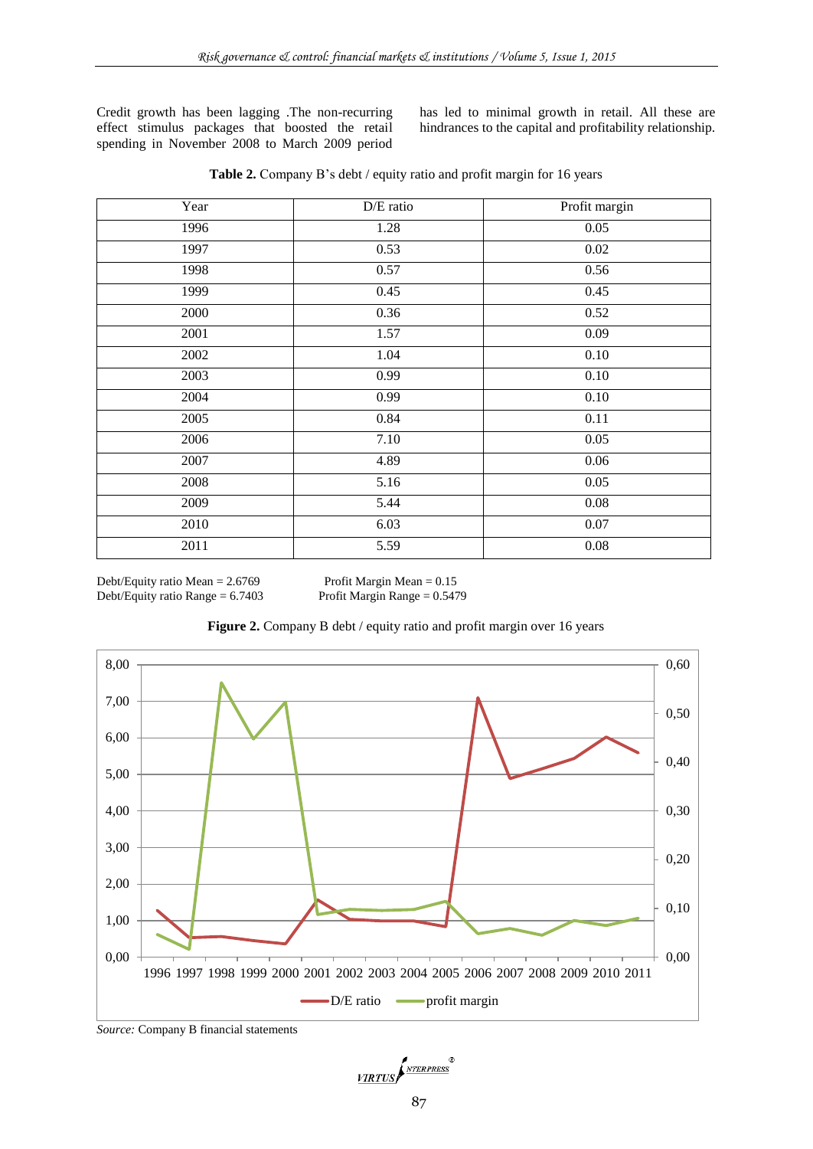Credit growth has been lagging .The non-recurring effect stimulus packages that boosted the retail spending in November 2008 to March 2009 period has led to minimal growth in retail. All these are hindrances to the capital and profitability relationship.

|  |  |  |  | Table 2. Company B's debt / equity ratio and profit margin for 16 years |  |  |
|--|--|--|--|-------------------------------------------------------------------------|--|--|
|--|--|--|--|-------------------------------------------------------------------------|--|--|

| Year | D/E ratio | Profit margin |
|------|-----------|---------------|
| 1996 | 1.28      | 0.05          |
| 1997 | 0.53      | 0.02          |
| 1998 | 0.57      | 0.56          |
| 1999 | 0.45      | 0.45          |
| 2000 | 0.36      | 0.52          |
| 2001 | 1.57      | 0.09          |
| 2002 | 1.04      | $0.10\,$      |
| 2003 | 0.99      | $0.10\,$      |
| 2004 | 0.99      | $0.10\,$      |
| 2005 | 0.84      | 0.11          |
| 2006 | 7.10      | 0.05          |
| 2007 | 4.89      | $0.06\,$      |
| 2008 | 5.16      | 0.05          |
| 2009 | 5.44      | $0.08\,$      |
| 2010 | 6.03      | 0.07          |
| 2011 | 5.59      | 0.08          |

Debt/Equity ratio Mean = 2.6769 Profit Margin Mean = 0.15<br>Debt/Equity ratio Range = 6.7403 Profit Margin Range = 0.5479 Debt/Equity ratio Range  $= 6.7403$ 



#### Figure 2. Company B debt / equity ratio and profit margin over 16 years

*Source:* Company B financial statements

VIRTUS NEERPRESS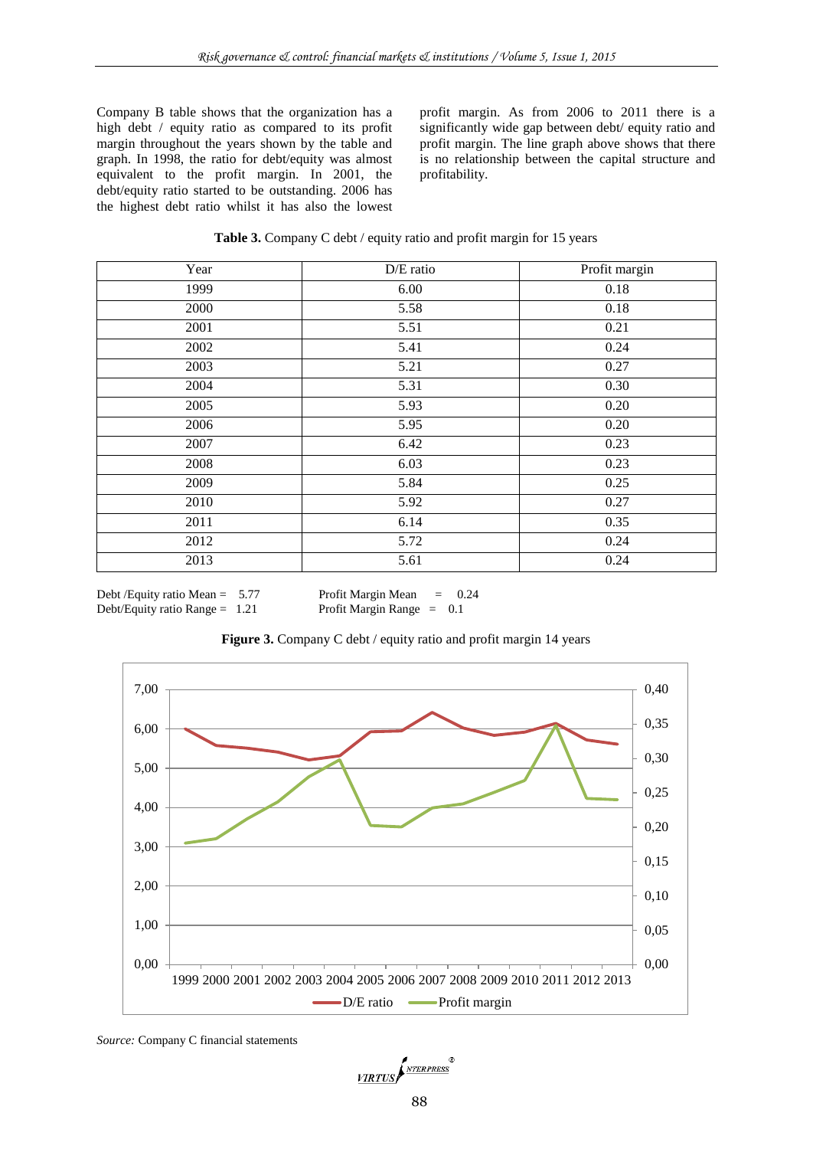Company B table shows that the organization has a high debt / equity ratio as compared to its profit margin throughout the years shown by the table and graph. In 1998, the ratio for debt/equity was almost equivalent to the profit margin. In 2001, the debt/equity ratio started to be outstanding. 2006 has the highest debt ratio whilst it has also the lowest

profit margin. As from 2006 to 2011 there is a significantly wide gap between debt/ equity ratio and profit margin. The line graph above shows that there is no relationship between the capital structure and profitability.

| Year | D/E ratio | Profit margin |
|------|-----------|---------------|
| 1999 | 6.00      | 0.18          |
| 2000 | 5.58      | 0.18          |
| 2001 | 5.51      | 0.21          |
| 2002 | 5.41      | 0.24          |
| 2003 | 5.21      | 0.27          |
| 2004 | 5.31      | 0.30          |
| 2005 | 5.93      | 0.20          |
| 2006 | 5.95      | 0.20          |
| 2007 | 6.42      | 0.23          |
| 2008 | 6.03      | 0.23          |
| 2009 | 5.84      | 0.25          |
| 2010 | 5.92      | 0.27          |
| 2011 | 6.14      | 0.35          |
| 2012 | 5.72      | 0.24          |
| 2013 | 5.61      | 0.24          |

Debt /Equity ratio Mean =  $5.77$  Profit Margin Mean =  $0.24$ Debt/Equity ratio Range = 1.21 Profit Margin Range = 0.1



Figure 3. Company C debt / equity ratio and profit margin 14 years

*Source:* Company C financial statements

VIRTUS NEERPRESS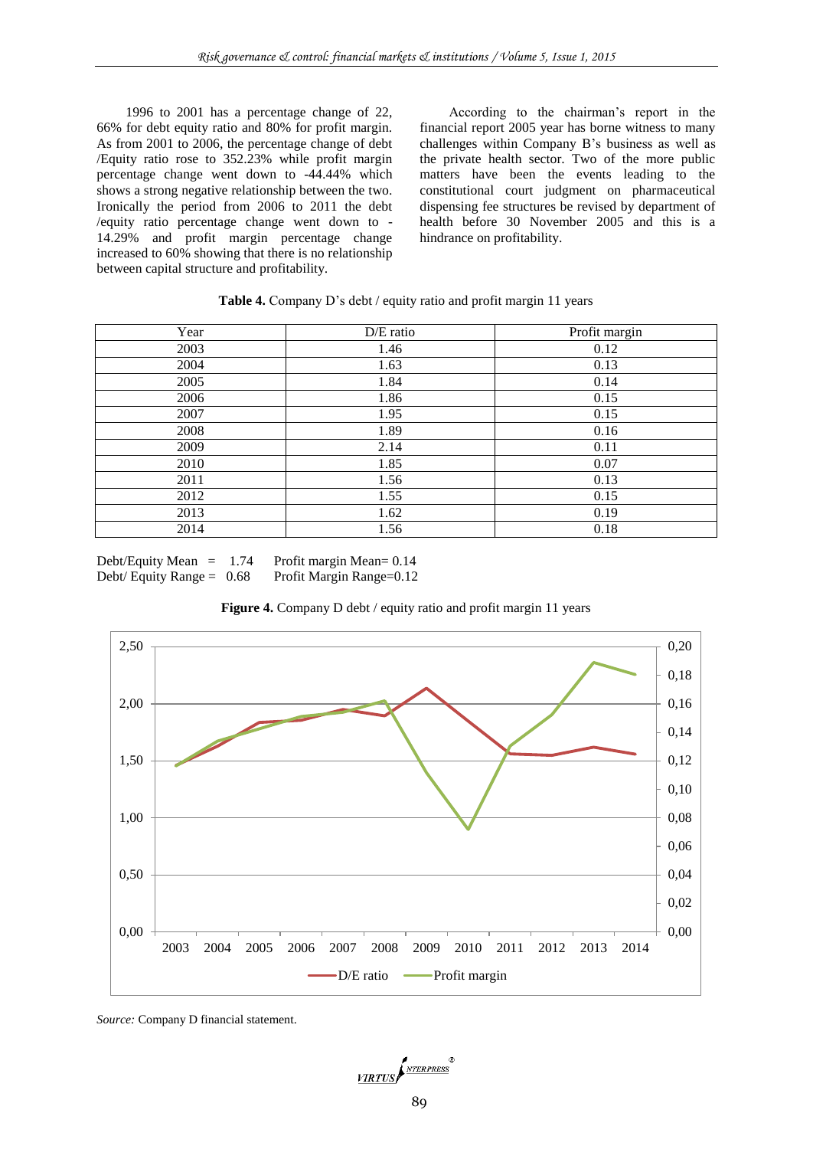1996 to 2001 has a percentage change of 22, 66% for debt equity ratio and 80% for profit margin. As from 2001 to 2006, the percentage change of debt /Equity ratio rose to 352.23% while profit margin percentage change went down to -44.44% which shows a strong negative relationship between the two. Ironically the period from 2006 to 2011 the debt /equity ratio percentage change went down to - 14.29% and profit margin percentage change increased to 60% showing that there is no relationship between capital structure and profitability.

According to the chairman's report in the financial report 2005 year has borne witness to many challenges within Company B's business as well as the private health sector. Two of the more public matters have been the events leading to the constitutional court judgment on pharmaceutical dispensing fee structures be revised by department of health before 30 November 2005 and this is a hindrance on profitability.

# **Table 4.** Company D's debt / equity ratio and profit margin 11 years

| Year | $D/E$ ratio | Profit margin |
|------|-------------|---------------|
| 2003 | 1.46        | 0.12          |
| 2004 | 1.63        | 0.13          |
| 2005 | 1.84        | 0.14          |
| 2006 | 1.86        | 0.15          |
| 2007 | 1.95        | 0.15          |
| 2008 | 1.89        | 0.16          |
| 2009 | 2.14        | 0.11          |
| 2010 | 1.85        | 0.07          |
| 2011 | 1.56        | 0.13          |
| 2012 | 1.55        | 0.15          |
| 2013 | 1.62        | 0.19          |
| 2014 | 1.56        | 0.18          |

Debt/Equity Mean = 1.74 Profit margin Mean= 0.14<br>Debt/Equity Range = 0.68 Profit Margin Range= 0.12 Debt/ Equity Range =  $0.68$ 



**Figure 4.** Company D debt / equity ratio and profit margin 11 years

*Source:* Company D financial statement.

VIRTUS NEERPRESS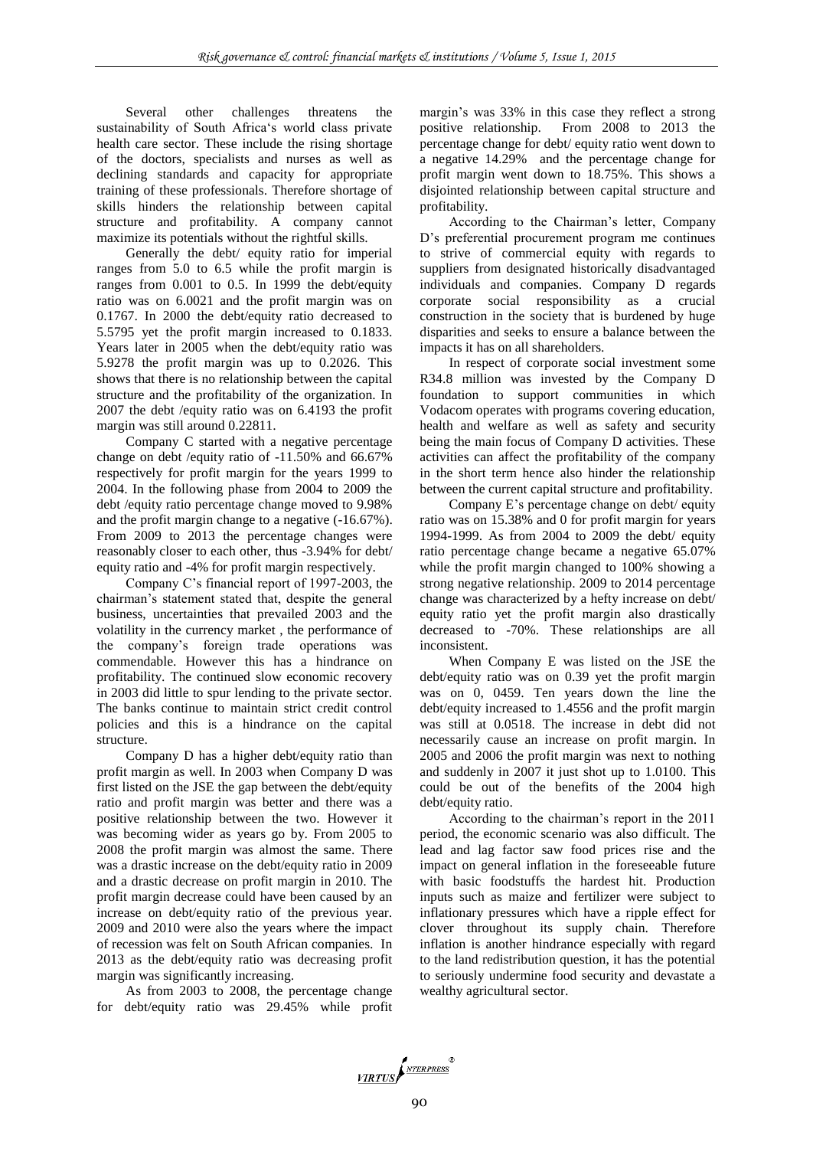Several other challenges threatens the sustainability of South Africa's world class private health care sector. These include the rising shortage of the doctors, specialists and nurses as well as declining standards and capacity for appropriate training of these professionals. Therefore shortage of skills hinders the relationship between capital structure and profitability. A company cannot maximize its potentials without the rightful skills.

Generally the debt/ equity ratio for imperial ranges from 5.0 to 6.5 while the profit margin is ranges from 0.001 to 0.5. In 1999 the debt/equity ratio was on 6.0021 and the profit margin was on 0.1767. In 2000 the debt/equity ratio decreased to 5.5795 yet the profit margin increased to 0.1833. Years later in 2005 when the debt/equity ratio was 5.9278 the profit margin was up to 0.2026. This shows that there is no relationship between the capital structure and the profitability of the organization. In 2007 the debt /equity ratio was on 6.4193 the profit margin was still around 0.22811.

Company C started with a negative percentage change on debt /equity ratio of -11.50% and 66.67% respectively for profit margin for the years 1999 to 2004. In the following phase from 2004 to 2009 the debt /equity ratio percentage change moved to 9.98% and the profit margin change to a negative (-16.67%). From 2009 to 2013 the percentage changes were reasonably closer to each other, thus -3.94% for debt/ equity ratio and -4% for profit margin respectively.

Company C's financial report of 1997-2003, the chairman's statement stated that, despite the general business, uncertainties that prevailed 2003 and the volatility in the currency market , the performance of the company's foreign trade operations was commendable. However this has a hindrance on profitability. The continued slow economic recovery in 2003 did little to spur lending to the private sector. The banks continue to maintain strict credit control policies and this is a hindrance on the capital structure.

Company D has a higher debt/equity ratio than profit margin as well. In 2003 when Company D was first listed on the JSE the gap between the debt/equity ratio and profit margin was better and there was a positive relationship between the two. However it was becoming wider as years go by. From 2005 to 2008 the profit margin was almost the same. There was a drastic increase on the debt/equity ratio in 2009 and a drastic decrease on profit margin in 2010. The profit margin decrease could have been caused by an increase on debt/equity ratio of the previous year. 2009 and 2010 were also the years where the impact of recession was felt on South African companies. In 2013 as the debt/equity ratio was decreasing profit margin was significantly increasing.

As from 2003 to 2008, the percentage change for debt/equity ratio was 29.45% while profit margin's was 33% in this case they reflect a strong positive relationship. From 2008 to 2013 the percentage change for debt/ equity ratio went down to a negative 14.29% and the percentage change for profit margin went down to 18.75%. This shows a disjointed relationship between capital structure and profitability.

According to the Chairman's letter, Company D's preferential procurement program me continues to strive of commercial equity with regards to suppliers from designated historically disadvantaged individuals and companies. Company D regards corporate social responsibility as a crucial construction in the society that is burdened by huge disparities and seeks to ensure a balance between the impacts it has on all shareholders.

In respect of corporate social investment some R34.8 million was invested by the Company D foundation to support communities in which Vodacom operates with programs covering education, health and welfare as well as safety and security being the main focus of Company D activities. These activities can affect the profitability of the company in the short term hence also hinder the relationship between the current capital structure and profitability.

Company E's percentage change on debt/ equity ratio was on 15.38% and 0 for profit margin for years 1994-1999. As from 2004 to 2009 the debt/ equity ratio percentage change became a negative 65.07% while the profit margin changed to 100% showing a strong negative relationship. 2009 to 2014 percentage change was characterized by a hefty increase on debt/ equity ratio yet the profit margin also drastically decreased to -70%. These relationships are all inconsistent.

When Company E was listed on the JSE the debt/equity ratio was on 0.39 yet the profit margin was on 0, 0459. Ten years down the line the debt/equity increased to 1.4556 and the profit margin was still at 0.0518. The increase in debt did not necessarily cause an increase on profit margin. In 2005 and 2006 the profit margin was next to nothing and suddenly in 2007 it just shot up to 1.0100. This could be out of the benefits of the 2004 high debt/equity ratio.

According to the chairman's report in the 2011 period, the economic scenario was also difficult. The lead and lag factor saw food prices rise and the impact on general inflation in the foreseeable future with basic foodstuffs the hardest hit. Production inputs such as maize and fertilizer were subject to inflationary pressures which have a ripple effect for clover throughout its supply chain. Therefore inflation is another hindrance especially with regard to the land redistribution question, it has the potential to seriously undermine food security and devastate a wealthy agricultural sector.

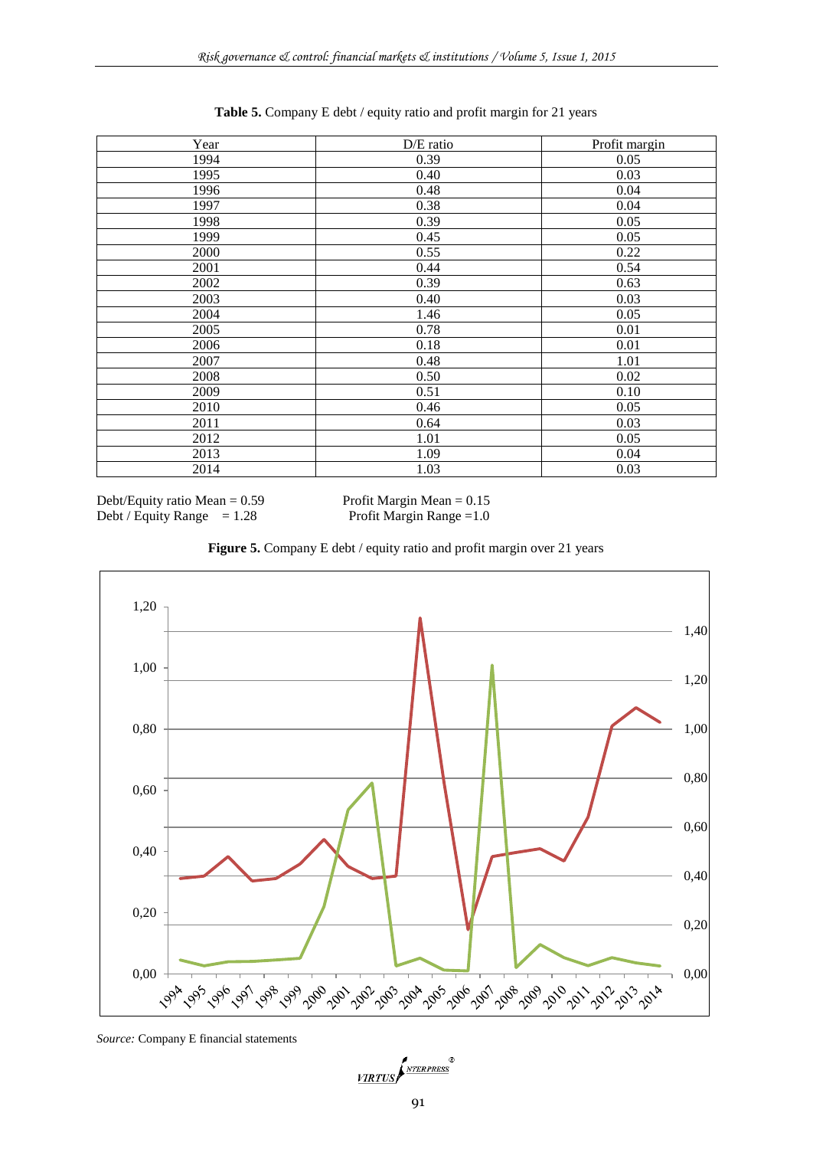| Year | D/E ratio | Profit margin |
|------|-----------|---------------|
| 1994 | 0.39      | 0.05          |
| 1995 | 0.40      | 0.03          |
| 1996 | 0.48      | 0.04          |
| 1997 | 0.38      | 0.04          |
| 1998 | 0.39      | 0.05          |
| 1999 | 0.45      | 0.05          |
| 2000 | 0.55      | 0.22          |
| 2001 | 0.44      | 0.54          |
| 2002 | 0.39      | 0.63          |
| 2003 | 0.40      | 0.03          |
| 2004 | 1.46      | 0.05          |
| 2005 | 0.78      | 0.01          |
| 2006 | 0.18      | 0.01          |
| 2007 | 0.48      | 1.01          |
| 2008 | 0.50      | 0.02          |
| 2009 | 0.51      | 0.10          |
| 2010 | 0.46      | 0.05          |
| 2011 | 0.64      | 0.03          |
| 2012 | 1.01      | 0.05          |
| 2013 | 1.09      | 0.04          |
| 2014 | 1.03      | 0.03          |

**Table 5.** Company E debt / equity ratio and profit margin for 21 years

Debt/Equity ratio Mean =  $0.59$  Profit Margin Mean =  $0.15$ Debt / Equity Range  $= 1.28$  Profit Margin Range  $= 1.0$ 





*Source:* Company E financial statements

VIRTUS NEERPRESS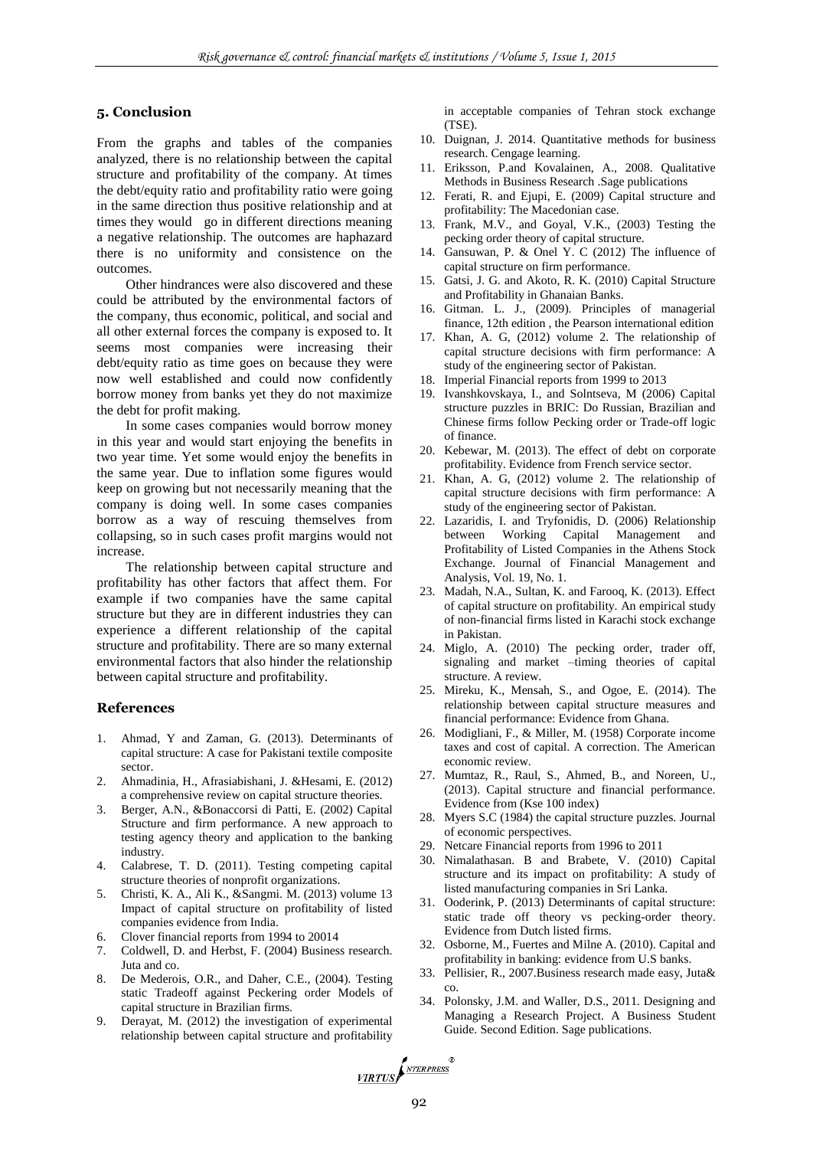# **5. Conclusion**

From the graphs and tables of the companies analyzed, there is no relationship between the capital structure and profitability of the company. At times the debt/equity ratio and profitability ratio were going in the same direction thus positive relationship and at times they would go in different directions meaning a negative relationship. The outcomes are haphazard there is no uniformity and consistence on the outcomes.

Other hindrances were also discovered and these could be attributed by the environmental factors of the company, thus economic, political, and social and all other external forces the company is exposed to. It seems most companies were increasing their debt/equity ratio as time goes on because they were now well established and could now confidently borrow money from banks yet they do not maximize the debt for profit making.

In some cases companies would borrow money in this year and would start enjoying the benefits in two year time. Yet some would enjoy the benefits in the same year. Due to inflation some figures would keep on growing but not necessarily meaning that the company is doing well. In some cases companies borrow as a way of rescuing themselves from collapsing, so in such cases profit margins would not increase.

The relationship between capital structure and profitability has other factors that affect them. For example if two companies have the same capital structure but they are in different industries they can experience a different relationship of the capital structure and profitability. There are so many external environmental factors that also hinder the relationship between capital structure and profitability.

## **References**

- Ahmad, Y and Zaman, G. (2013). Determinants of capital structure: A case for Pakistani textile composite sector.
- 2. Ahmadinia, H., Afrasiabishani, J. &Hesami, E. (2012) a comprehensive review on capital structure theories.
- 3. Berger, A.N., &Bonaccorsi di Patti, E. (2002) Capital Structure and firm performance. A new approach to testing agency theory and application to the banking industry.
- 4. Calabrese, T. D. (2011). Testing competing capital structure theories of nonprofit organizations.
- 5. Christi, K. A., Ali K., &Sangmi. M. (2013) volume 13 Impact of capital structure on profitability of listed companies evidence from India.
- 6. Clover financial reports from 1994 to 20014
- 7. Coldwell, D. and Herbst, F. (2004) Business research. Juta and co.
- 8. De Mederois, O.R., and Daher, C.E., (2004). Testing static Tradeoff against Peckering order Models of capital structure in Brazilian firms.
- 9. Derayat, M. (2012) the investigation of experimental relationship between capital structure and profitability

in acceptable companies of Tehran stock exchange (TSE).

- 10. Duignan, J. 2014. Quantitative methods for business research. Cengage learning.
- 11. Eriksson, P.and Kovalainen, A., 2008. Qualitative Methods in Business Research .Sage publications
- 12. Ferati, R. and Ejupi, E. (2009) Capital structure and profitability: The Macedonian case.
- 13. Frank, M.V., and Goyal, V.K., (2003) Testing the pecking order theory of capital structure.
- 14. Gansuwan, P. & Onel Y. C (2012) The influence of capital structure on firm performance.
- 15. Gatsi, J. G. and Akoto, R. K. (2010) Capital Structure and Profitability in Ghanaian Banks.
- 16. Gitman. L. J., (2009). Principles of managerial finance, 12th edition , the Pearson international edition
- 17. Khan, A. G, (2012) volume 2. The relationship of capital structure decisions with firm performance: A study of the engineering sector of Pakistan.
- 18. Imperial Financial reports from 1999 to 2013
- 19. Ivanshkovskaya, I., and Solntseva, M (2006) Capital structure puzzles in BRIC: Do Russian, Brazilian and Chinese firms follow Pecking order or Trade-off logic of finance.
- 20. Kebewar, M. (2013). The effect of debt on corporate profitability. Evidence from French service sector.
- 21. Khan, A. G, (2012) volume 2. The relationship of capital structure decisions with firm performance: A study of the engineering sector of Pakistan.
- 22. Lazaridis, I. and Tryfonidis, D. (2006) Relationship between Working Capital Management and Profitability of Listed Companies in the Athens Stock Exchange. Journal of Financial Management and Analysis, Vol. 19, No. 1.
- 23. Madah, N.A., Sultan, K. and Farooq, K. (2013). Effect of capital structure on profitability. An empirical study of non-financial firms listed in Karachi stock exchange in Pakistan.
- 24. Miglo, A. (2010) The pecking order, trader off, signaling and market –timing theories of capital structure. A review.
- 25. Mireku, K., Mensah, S., and Ogoe, E. (2014). The relationship between capital structure measures and financial performance: Evidence from Ghana.
- 26. Modigliani, F., & Miller, M. (1958) Corporate income taxes and cost of capital. A correction. The American economic review.
- 27. Mumtaz, R., Raul, S., Ahmed, B., and Noreen, U., (2013). Capital structure and financial performance. Evidence from (Kse 100 index)
- 28. Myers S.C (1984) the capital structure puzzles. Journal of economic perspectives.
- 29. Netcare Financial reports from 1996 to 2011
- 30. Nimalathasan. B and Brabete, V. (2010) Capital structure and its impact on profitability: A study of listed manufacturing companies in Sri Lanka.
- 31. Ooderink, P. (2013) Determinants of capital structure: static trade off theory vs pecking-order theory. Evidence from Dutch listed firms.
- 32. Osborne, M., Fuertes and Milne A. (2010). Capital and profitability in banking: evidence from U.S banks.
- 33. Pellisier, R., 2007.Business research made easy, Juta& co.
- 34. Polonsky, J.M. and Waller, D.S., 2011. Designing and Managing a Research Project. A Business Student Guide. Second Edition. Sage publications.

VIRTUS NTERPRESS